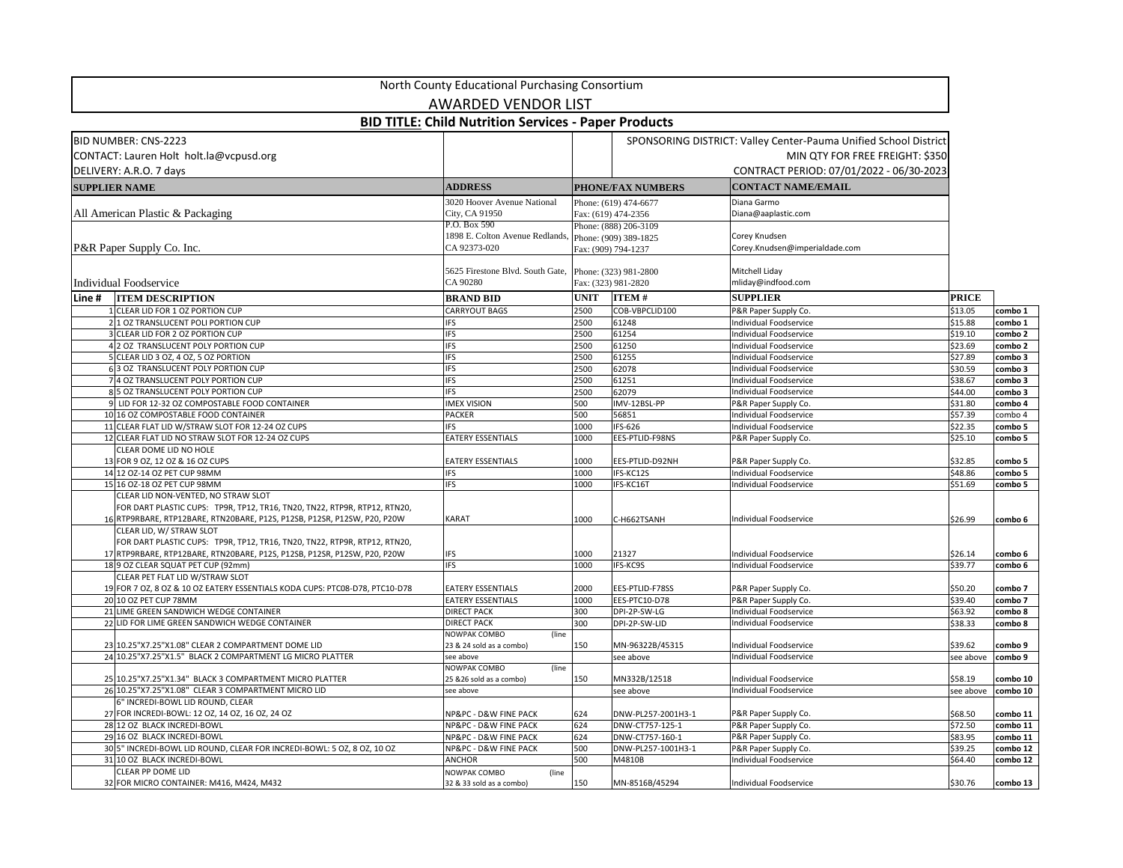|                                                                                                                                                                                                                          | North County Educational Purchasing Consortium                        |              |                                                                       |                                                                                                                                                 |                    |                    |
|--------------------------------------------------------------------------------------------------------------------------------------------------------------------------------------------------------------------------|-----------------------------------------------------------------------|--------------|-----------------------------------------------------------------------|-------------------------------------------------------------------------------------------------------------------------------------------------|--------------------|--------------------|
|                                                                                                                                                                                                                          | <b>AWARDED VENDOR LIST</b>                                            |              |                                                                       |                                                                                                                                                 |                    |                    |
|                                                                                                                                                                                                                          | <b>BID TITLE: Child Nutrition Services - Paper Products</b>           |              |                                                                       |                                                                                                                                                 |                    |                    |
| <b>BID NUMBER: CNS-2223</b><br>CONTACT: Lauren Holt holt.la@vcpusd.org<br>DELIVERY: A.R.O. 7 days                                                                                                                        |                                                                       |              |                                                                       | SPONSORING DISTRICT: Valley Center-Pauma Unified School District<br>MIN QTY FOR FREE FREIGHT: \$350<br>CONTRACT PERIOD: 07/01/2022 - 06/30-2023 |                    |                    |
| <b>SUPPLIER NAME</b>                                                                                                                                                                                                     | <b>ADDRESS</b>                                                        |              | <b>PHONE/FAX NUMBERS</b>                                              | <b>CONTACT NAME/EMAIL</b>                                                                                                                       |                    |                    |
| All American Plastic & Packaging                                                                                                                                                                                         | 3020 Hoover Avenue National<br>City, CA 91950<br>P.O. Box 590         |              | Phone: (619) 474-6677<br>Fax: (619) 474-2356<br>Phone: (888) 206-3109 | Diana Garmo<br>Diana@aaplastic.com                                                                                                              |                    |                    |
| <b>P&amp;R</b> Paper Supply Co. Inc.                                                                                                                                                                                     | 1898 E. Colton Avenue Redlands, Phone: (909) 389-1825<br>CA 92373-020 |              | Fax: (909) 794-1237                                                   | Corey Knudsen<br>Corey.Knudsen@imperialdade.com                                                                                                 |                    |                    |
| Individual Foodservice                                                                                                                                                                                                   | 5625 Firestone Blvd. South Gate,<br>CA 90280                          |              | Phone: (323) 981-2800<br>Fax: (323) 981-2820                          | Mitchell Liday<br>mliday@indfood.com                                                                                                            |                    |                    |
| Line #<br><b>ITEM DESCRIPTION</b>                                                                                                                                                                                        | <b>BRAND BID</b>                                                      | <b>UNIT</b>  | <b>ITEM#</b>                                                          | <b>SUPPLIER</b>                                                                                                                                 | <b>PRICE</b>       |                    |
| <b>CLEAR LID FOR 1 OZ PORTION CUP</b><br>2 1 OZ TRANSLUCENT POLI PORTION CUP                                                                                                                                             | <b>CARRYOUT BAGS</b><br>FS                                            | 2500<br>2500 | COB-VBPCLID100<br>61248                                               | P&R Paper Supply Co.<br><b>Individual Foodservice</b>                                                                                           | \$13.05<br>\$15.88 | combo 1<br>combo 1 |
| 3 CLEAR LID FOR 2 OZ PORTION CUP                                                                                                                                                                                         | IFS                                                                   | 2500         | 61254                                                                 | Individual Foodservice                                                                                                                          | \$19.10            | combo 2            |
| 2 OZ TRANSLUCENT POLY PORTION CUP                                                                                                                                                                                        | IFS                                                                   | 2500         | 61250                                                                 | <b>Individual Foodservice</b>                                                                                                                   | \$23.69            | combo 2            |
| 5 CLEAR LID 3 OZ, 4 OZ, 5 OZ PORTION                                                                                                                                                                                     | IFS                                                                   | 2500         | 61255                                                                 | <b>Individual Foodservice</b>                                                                                                                   | \$27.89            | combo 3            |
| 63 OZ TRANSLUCENT POLY PORTION CUP                                                                                                                                                                                       | IFS                                                                   | 2500         | 62078                                                                 | Individual Foodservice                                                                                                                          | \$30.59            | combo 3            |
| 4 OZ TRANSLUCENT POLY PORTION CUP                                                                                                                                                                                        | IFS                                                                   | 2500         | 61251                                                                 | Individual Foodservice                                                                                                                          | \$38.67            | combo 3            |
| 85 OZ TRANSLUCENT POLY PORTION CUP                                                                                                                                                                                       | IFS                                                                   | 2500         | 62079                                                                 | Individual Foodservice                                                                                                                          | \$44.00            | combo 3            |
| 9 LID FOR 12-32 OZ COMPOSTABLE FOOD CONTAINER                                                                                                                                                                            | <b>IMEX VISION</b>                                                    | 500          | IMV-12BSL-PP                                                          | P&R Paper Supply Co.                                                                                                                            | \$31.80            | combo 4            |
| 10 16 OZ COMPOSTABLE FOOD CONTAINER                                                                                                                                                                                      | <b>PACKER</b>                                                         | 500          | 56851                                                                 | Individual Foodservice                                                                                                                          | \$57.39            | combo 4            |
| 11 CLEAR FLAT LID W/STRAW SLOT FOR 12-24 OZ CUPS                                                                                                                                                                         | FS                                                                    | 1000         | IFS-626                                                               | Individual Foodservice                                                                                                                          | \$22.35            | combo 5            |
| 12 CLEAR FLAT LID NO STRAW SLOT FOR 12-24 OZ CUPS                                                                                                                                                                        | <b>EATERY ESSENTIALS</b>                                              | 1000         | EES-PTLID-F98NS                                                       | P&R Paper Supply Co.                                                                                                                            | \$25.10            | combo 5            |
| CLEAR DOME LID NO HOLE<br>13 FOR 9 OZ, 12 OZ & 16 OZ CUPS                                                                                                                                                                | <b>EATERY ESSENTIALS</b>                                              | 1000         | EES-PTLID-D92NH                                                       | P&R Paper Supply Co.                                                                                                                            | \$32.85            | combo 5            |
| 14 12 OZ-14 OZ PET CUP 98MM                                                                                                                                                                                              | <b>IFS</b>                                                            | 1000         | IFS-KC12S                                                             | Individual Foodservice                                                                                                                          | \$48.86            | combo 5            |
| 15 16 OZ-18 OZ PET CUP 98MM                                                                                                                                                                                              | IFS                                                                   | 1000         | IFS-KC16T                                                             | Individual Foodservice                                                                                                                          | \$51.69            | combo 5            |
| CLEAR LID NON-VENTED, NO STRAW SLOT<br>FOR DART PLASTIC CUPS: TP9R, TP12, TR16, TN20, TN22, RTP9R, RTP12, RTN20,<br>16 RTP9RBARE, RTP12BARE, RTN20BARE, P12S, P12SB, P12SR, P12SW, P20, P20W<br>CLEAR LID, W/ STRAW SLOT | <b>KARAT</b>                                                          | 1000         | C-H662TSANH                                                           | Individual Foodservice                                                                                                                          | \$26.99            | combo 6            |
| FOR DART PLASTIC CUPS: TP9R, TP12, TR16, TN20, TN22, RTP9R, RTP12, RTN20,<br>17 RTP9RBARE, RTP12BARE, RTN20BARE, P12S, P12SB, P12SR, P12SW, P20, P20W<br>189 OZ CLEAR SQUAT PET CUP (92mm)                               | <b>IFS</b><br><b>IFS</b>                                              | 1000<br>1000 | 21327<br><b>IFS-KC9S</b>                                              | Individual Foodservice<br>Individual Foodservice                                                                                                | \$26.14<br>\$39.77 | combo 6<br>combo 6 |
| CLEAR PET FLAT LID W/STRAW SLOT                                                                                                                                                                                          |                                                                       |              |                                                                       |                                                                                                                                                 |                    |                    |
| 19 FOR 7 OZ, 8 OZ & 10 OZ EATERY ESSENTIALS KODA CUPS: PTC08-D78, PTC10-D78                                                                                                                                              | <b>EATERY ESSENTIALS</b>                                              | 2000         | EES-PTLID-F78SS                                                       | P&R Paper Supply Co.                                                                                                                            | \$50.20            | combo 7            |
| 20 10 OZ PET CUP 78MM                                                                                                                                                                                                    | <b>EATERY ESSENTIALS</b>                                              | 1000         | EES-PTC10-D78                                                         | P&R Paper Supply Co.                                                                                                                            | \$39.40            | combo 7            |
| 21 LIME GREEN SANDWICH WEDGE CONTAINER                                                                                                                                                                                   | <b>DIRECT PACK</b>                                                    | 300          | DPI-2P-SW-LG                                                          | Individual Foodservice                                                                                                                          | \$63.92            | combo 8            |
| 22 LID FOR LIME GREEN SANDWICH WEDGE CONTAINER                                                                                                                                                                           | <b>DIRECT PACK</b>                                                    | 300          | DPI-2P-SW-LID                                                         | Individual Foodservice                                                                                                                          | \$38.33            | combo 8            |
|                                                                                                                                                                                                                          | NOWPAK COMBO<br>(line                                                 |              |                                                                       |                                                                                                                                                 |                    |                    |
| 23 10.25"X7.25"X1.08" CLEAR 2 COMPARTMENT DOME LID                                                                                                                                                                       | 23 & 24 sold as a combo)                                              | 150          | MN-96322B/45315                                                       | Individual Foodservice                                                                                                                          | \$39.62            | combo 9            |
| 24 10.25"X7.25"X1.5" BLACK 2 COMPARTMENT LG MICRO PLATTER                                                                                                                                                                | see above                                                             |              | see above                                                             | Individual Foodservice                                                                                                                          | see above          | combo 9            |
|                                                                                                                                                                                                                          | <b>NOWPAK COMBO</b><br>(line                                          |              |                                                                       |                                                                                                                                                 |                    |                    |
| 25 10.25"X7.25"X1.34" BLACK 3 COMPARTMENT MICRO PLATTER                                                                                                                                                                  | 25 & 26 sold as a combo)                                              | 150          | MN332B/12518                                                          | Individual Foodservice<br>Individual Foodservice                                                                                                | \$58.19            | combo 10           |
| 26 10.25"X7.25"X1.08" CLEAR 3 COMPARTMENT MICRO LID<br>6" INCREDI-BOWL LID ROUND, CLEAR                                                                                                                                  | see above                                                             |              | see above                                                             |                                                                                                                                                 | see above          | combo 10           |
| 27 FOR INCREDI-BOWL: 12 OZ, 14 OZ, 16 OZ, 24 OZ                                                                                                                                                                          | NP&PC - D&W FINE PACK                                                 | 624          | DNW-PL257-2001H3-1                                                    | P&R Paper Supply Co.                                                                                                                            | \$68.50            | combo 11           |
| 28 12 OZ BLACK INCREDI-BOWL                                                                                                                                                                                              | NP&PC - D&W FINE PACK                                                 | 624          | DNW-CT757-125-1                                                       | P&R Paper Supply Co.                                                                                                                            | \$72.50            | combo 11           |
| 29 16 OZ BLACK INCREDI-BOWL                                                                                                                                                                                              | <b>NP&amp;PC - D&amp;W FINE PACK</b>                                  | 624          | DNW-CT757-160-1                                                       | P&R Paper Supply Co.                                                                                                                            | \$83.95            | combo 11           |
| 305" INCREDI-BOWL LID ROUND, CLEAR FOR INCREDI-BOWL: 5 OZ, 8 OZ, 10 OZ                                                                                                                                                   | <b>NP&amp;PC - D&amp;W FINE PACK</b>                                  | 500          | DNW-PL257-1001H3-1                                                    | P&R Paper Supply Co.                                                                                                                            | \$39.25            | combo 12           |
| 31 10 OZ BLACK INCREDI-BOWL                                                                                                                                                                                              | <b>ANCHOR</b>                                                         | 500          | M4810B                                                                | Individual Foodservice                                                                                                                          | \$64.40            | combo 12           |
| <b>CLEAR PP DOME LID</b>                                                                                                                                                                                                 | NOWPAK COMBO<br>(line)                                                |              |                                                                       |                                                                                                                                                 |                    |                    |
| 32 FOR MICRO CONTAINER: M416, M424, M432                                                                                                                                                                                 | 32 & 33 sold as a combo)                                              | 150          | MN-8516B/45294                                                        | Individual Foodservice                                                                                                                          | \$30.76            | combo 13           |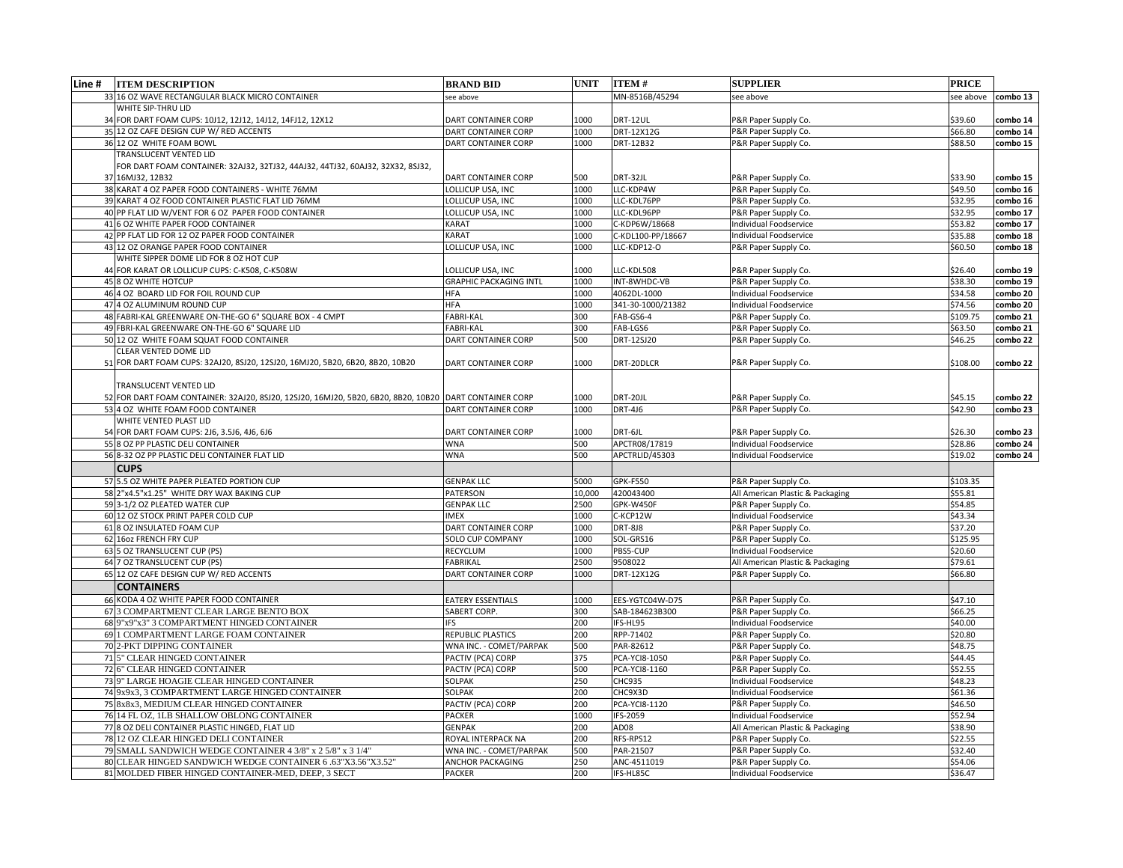| Line #<br><b>ITEM DESCRIPTION</b>                                                                      | <b>BRAND BID</b>              | <b>UNIT</b> | <b>ITEM#</b>      | <b>SUPPLIER</b>                  | <b>PRICE</b> |                      |
|--------------------------------------------------------------------------------------------------------|-------------------------------|-------------|-------------------|----------------------------------|--------------|----------------------|
| 33 16 OZ WAVE RECTANGULAR BLACK MICRO CONTAINER                                                        | see above                     |             | MN-8516B/45294    | see above                        | see above    | $\mathsf{combo}\,13$ |
| <b>WHITE SIP-THRU LID</b>                                                                              |                               |             |                   |                                  |              |                      |
| FOR DART FOAM CUPS: 10J12, 12J12, 14J12, 14FJ12, 12X12                                                 | <b>DART CONTAINER CORP</b>    | 1000        | DRT-12UL          | P&R Paper Supply Co.             | \$39.60      | combo 14             |
| 35 12 OZ CAFE DESIGN CUP W/ RED ACCENTS                                                                | <b>DART CONTAINER CORP</b>    | 1000        | DRT-12X12G        | P&R Paper Supply Co.             | \$66.80      | combo 14             |
| 36 12 OZ WHITE FOAM BOWL                                                                               | <b>DART CONTAINER CORP</b>    | 1000        | DRT-12B32         | P&R Paper Supply Co.             | \$88.50      | combo 15             |
| TRANSLUCENT VENTED LID                                                                                 |                               |             |                   |                                  |              |                      |
| FOR DART FOAM CONTAINER: 32AJ32, 32TJ32, 44AJ32, 44TJ32, 60AJ32, 32X32, 8SJ32,                         |                               |             |                   |                                  |              |                      |
| 37 16MJ32, 12B32                                                                                       | <b>DART CONTAINER CORP</b>    | 500         | DRT-32JL          | P&R Paper Supply Co.             | \$33.90      | combo 15             |
| 38 KARAT 4 OZ PAPER FOOD CONTAINERS - WHITE 76MM                                                       | LOLLICUP USA, INC             | 1000        | LLC-KDP4W         | P&R Paper Supply Co.             | \$49.50      | combo 16             |
| 39 KARAT 4 OZ FOOD CONTAINER PLASTIC FLAT LID 76MM                                                     | LOLLICUP USA, INC             | 1000        | LLC-KDL76PP       | P&R Paper Supply Co.             | \$32.95      | combo 16             |
| 40 PP FLAT LID W/VENT FOR 6 OZ PAPER FOOD CONTAINER                                                    | LOLLICUP USA, INC             | 1000        | LLC-KDL96PP       | P&R Paper Supply Co.             | \$32.95      | combo 17             |
| 6 OZ WHITE PAPER FOOD CONTAINER<br>41                                                                  | <b>KARAT</b>                  | 1000        | C-KDP6W/18668     | <b>Individual Foodservice</b>    | \$53.82      | combo 17             |
| 42 PP FLAT LID FOR 12 OZ PAPER FOOD CONTAINER                                                          | <b>KARAT</b>                  | 1000        | C-KDL100-PP/18667 | Individual Foodservice           | \$35.88      | combo 18             |
| 43 12 OZ ORANGE PAPER FOOD CONTAINER                                                                   | LOLLICUP USA, INC             | 1000        | LLC-KDP12-O       | P&R Paper Supply Co.             | \$60.50      | combo 18             |
| WHITE SIPPER DOME LID FOR 8 OZ HOT CUP                                                                 |                               |             |                   |                                  |              |                      |
| FOR KARAT OR LOLLICUP CUPS: C-K508, C-K508W                                                            | LOLLICUP USA, INC             | 1000        | LLC-KDL508        | P&R Paper Supply Co.             | \$26.40      | combo 19             |
| 45 8 OZ WHITE HOTCUP                                                                                   | <b>GRAPHIC PACKAGING INTL</b> | 1000        | INT-8WHDC-VB      | P&R Paper Supply Co.             | \$38.30      | combo 19             |
| 4 OZ BOARD LID FOR FOIL ROUND CUP                                                                      | <b>HFA</b>                    | 1000        | 4062DL-1000       | <b>Individual Foodservice</b>    | \$34.58      | combo 20             |
| 47 4 OZ ALUMINUM ROUND CUP                                                                             | <b>HFA</b>                    | 1000        | 341-30-1000/21382 | Individual Foodservice           | \$74.56      | combo 20             |
| FABRI-KAL GREENWARE ON-THE-GO 6" SQUARE BOX - 4 CMPT                                                   | <b>FABRI-KAL</b>              | 300         | FAB-GS6-4         | P&R Paper Supply Co.             | \$109.75     | combo 21             |
| FBRI-KAL GREENWARE ON-THE-GO 6" SQUARE LID                                                             | <b>FABRI-KAL</b>              | 300         | FAB-LGS6          | P&R Paper Supply Co.             | \$63.50      | combo 21             |
| 50 12 OZ WHITE FOAM SQUAT FOOD CONTAINER                                                               | <b>DART CONTAINER CORP</b>    | 500         | DRT-12SJ20        | P&R Paper Supply Co.             | \$46.25      | combo 22             |
| CLEAR VENTED DOME LID                                                                                  |                               |             |                   |                                  |              |                      |
| 51 FOR DART FOAM CUPS: 32AJ20, 8SJ20, 12SJ20, 16MJ20, 5B20, 6B20, 8B20, 10B20                          | DART CONTAINER CORP           | 1000        | DRT-20DLCR        | P&R Paper Supply Co.             | \$108.00     | combo 22             |
|                                                                                                        |                               |             |                   |                                  |              |                      |
| TRANSLUCENT VENTED LID                                                                                 |                               |             |                   |                                  |              |                      |
| 52 FOR DART FOAM CONTAINER: 32AJ20, 8SJ20, 12SJ20, 16MJ20, 5B20, 6B20, 8B20, 10B20 DART CONTAINER CORP |                               | 1000        | DRT-20JL          | P&R Paper Supply Co.             | \$45.15      | combo 22             |
| 53 4 OZ WHITE FOAM FOOD CONTAINER                                                                      | <b>DART CONTAINER CORP</b>    | 1000        | <b>DRT-4J6</b>    | P&R Paper Supply Co.             | \$42.90      | combo 23             |
| WHITE VENTED PLAST LID                                                                                 |                               |             |                   |                                  |              |                      |
| 54 FOR DART FOAM CUPS: 2J6, 3.5J6, 4J6, 6J6                                                            | <b>DART CONTAINER CORP</b>    | 1000        | DRT-6JL           | P&R Paper Supply Co.             | \$26.30      | combo 23             |
| 55 8 OZ PP PLASTIC DELI CONTAINER                                                                      | <b>WNA</b>                    | 500         | APCTR08/17819     | Individual Foodservice           | \$28.86      | combo 24             |
| 56 8-32 OZ PP PLASTIC DELI CONTAINER FLAT LID                                                          | <b>WNA</b>                    | 500         | APCTRLID/45303    | Individual Foodservice           | \$19.02      | combo 24             |
| <b>CUPS</b>                                                                                            |                               |             |                   |                                  |              |                      |
| 57 5.5 OZ WHITE PAPER PLEATED PORTION CUP                                                              | <b>GENPAK LLC</b>             | 5000        | GPK-F550          | P&R Paper Supply Co.             | \$103.35     |                      |
| 58 2"x4.5"x1.25" WHITE DRY WAX BAKING CUP                                                              | <b>PATERSON</b>               | 10,000      | 420043400         | All American Plastic & Packaging | \$55.81      |                      |
| 593-1/2 OZ PLEATED WATER CUP                                                                           | <b>GENPAK LLC</b>             | 2500        | GPK-W450F         | P&R Paper Supply Co.             | \$54.85      |                      |
| 60 12 OZ STOCK PRINT PAPER COLD CUP                                                                    | <b>IMEX</b>                   | 1000        | C-KCP12W          | Individual Foodservice           | \$43.34      |                      |
| 618 OZ INSULATED FOAM CUP                                                                              | <b>DART CONTAINER CORP</b>    | 1000        | <b>DRT-8J8</b>    | P&R Paper Supply Co.             | \$37.20      |                      |
| 62 16oz FRENCH FRY CUP                                                                                 | <b>SOLO CUP COMPANY</b>       | 1000        | SOL-GRS16         | P&R Paper Supply Co.             | \$125.95     |                      |
| 63 5 OZ TRANSLUCENT CUP (PS)                                                                           | <b>RECYCLUM</b>               | 1000        | PBS5-CUP          | Individual Foodservice           | \$20.60      |                      |
| 64 7 OZ TRANSLUCENT CUP (PS)                                                                           | <b>FABRIKAL</b>               | 2500        | 9508022           | All American Plastic & Packaging | \$79.61      |                      |
| 65 12 OZ CAFE DESIGN CUP W/ RED ACCENTS                                                                | <b>DART CONTAINER CORP</b>    | 1000        | DRT-12X12G        | P&R Paper Supply Co.             | \$66.80      |                      |
| <b>CONTAINERS</b>                                                                                      |                               |             |                   |                                  |              |                      |
| 66 KODA 4 OZ WHITE PAPER FOOD CONTAINER                                                                | <b>EATERY ESSENTIALS</b>      | 1000        | EES-YGTC04W-D75   | P&R Paper Supply Co.             | \$47.10      |                      |
| 67 3 COMPARTMENT CLEAR LARGE BENTO BOX                                                                 | SABERT CORP.                  | 300         | SAB-184623B300    | P&R Paper Supply Co.             | \$66.25      |                      |
| 68 9"x9"x3" 3 COMPARTMENT HINGED CONTAINER                                                             | <b>IFS</b>                    | 200         | IFS-HL95          | Individual Foodservice           | \$40.00      |                      |
| 69 1 COMPARTMENT LARGE FOAM CONTAINER                                                                  | <b>REPUBLIC PLASTICS</b>      | 200         | RPP-71402         | P&R Paper Supply Co.             | \$20.80      |                      |
| 70 2-PKT DIPPING CONTAINER                                                                             | WNA INC. - COMET/PARPAK       | 500         | PAR-82612         | P&R Paper Supply Co.             | \$48.75      |                      |
| 71 5" CLEAR HINGED CONTAINER                                                                           | PACTIV (PCA) CORP             | 375         | PCA-YCI8-1050     | P&R Paper Supply Co.             | \$44.45      |                      |
| 72 6" CLEAR HINGED CONTAINER                                                                           | PACTIV (PCA) CORP             | 500         | PCA-YCI8-1160     | P&R Paper Supply Co.             | \$52.55      |                      |
| 73 9" LARGE HOAGIE CLEAR HINGED CONTAINER                                                              | <b>SOLPAK</b>                 | 250         | CHC935            | <b>Individual Foodservice</b>    | \$48.23      |                      |
| 74 9x9x3, 3 COMPARTMENT LARGE HINGED CONTAINER                                                         | <b>SOLPAK</b>                 | 200         | CHC9X3D           | <b>Individual Foodservice</b>    | \$61.36      |                      |
| 75 8x8x3, MEDIUM CLEAR HINGED CONTAINER                                                                | PACTIV (PCA) CORP             | 200         | PCA-YCI8-1120     | P&R Paper Supply Co.             | \$46.50      |                      |
| 76 14 FL OZ, 1LB SHALLOW OBLONG CONTAINER                                                              | <b>PACKER</b>                 | 1000        | IFS-2059          | Individual Foodservice           | \$52.94      |                      |
| 77 8 OZ DELI CONTAINER PLASTIC HINGED, FLAT LID                                                        | <b>GENPAK</b>                 | 200         | AD08              | All American Plastic & Packaging | \$38.90      |                      |
| 78 12 OZ CLEAR HINGED DELI CONTAINER                                                                   | ROYAL INTERPACK NA            | 200         | RFS-RPS12         | P&R Paper Supply Co.             | \$22.55      |                      |
| 79 SMALL SANDWICH WEDGE CONTAINER 4 3/8" x 2 5/8" x 3 1/4"                                             | WNA INC. - COMET/PARPAK       | 500         | PAR-21507         | P&R Paper Supply Co.             | \$32.40      |                      |
| 80 CLEAR HINGED SANDWICH WEDGE CONTAINER 6.63"X3.56"X3.52"                                             | <b>ANCHOR PACKAGING</b>       | 250         | ANC-4511019       | P&R Paper Supply Co.             | \$54.06      |                      |
| 81 MOLDED FIBER HINGED CONTAINER-MED, DEEP, 3 SECT                                                     | <b>PACKER</b>                 | 200         | IFS-HL85C         | Individual Foodservice           | \$36.47      |                      |
|                                                                                                        |                               |             |                   |                                  |              |                      |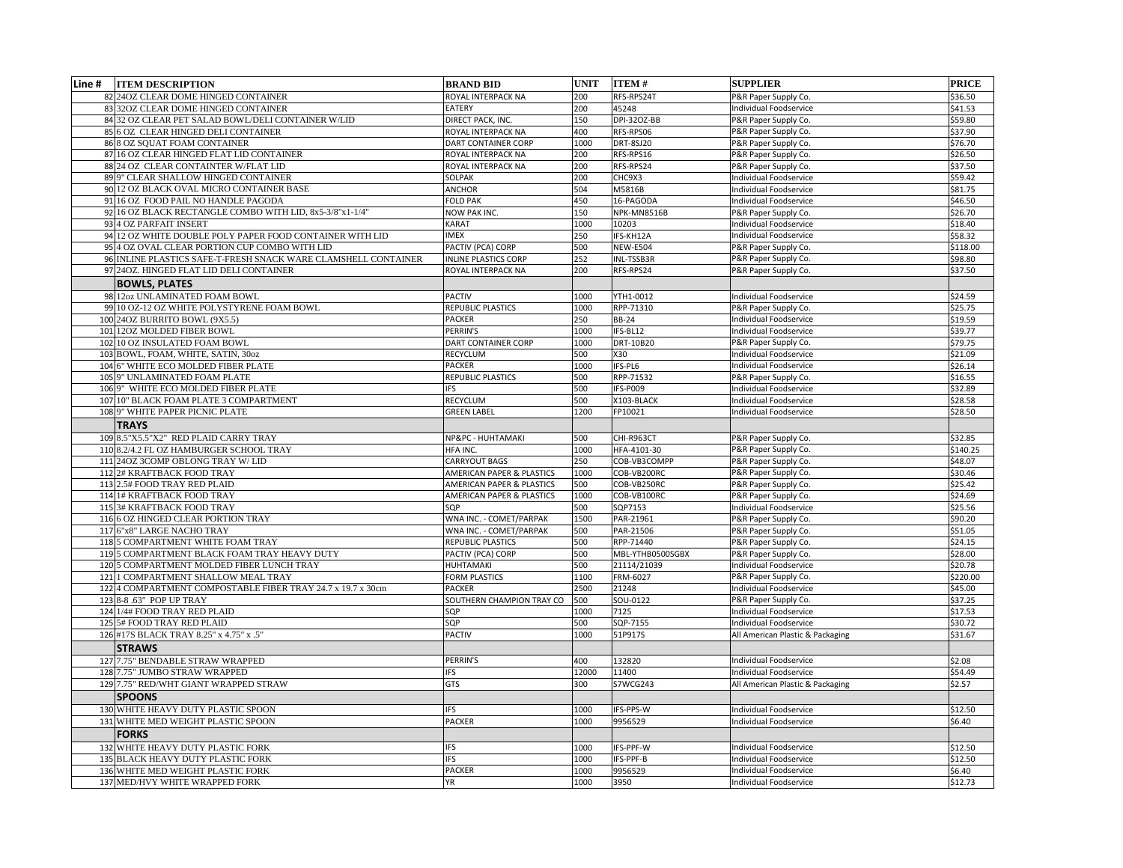| Line # | <b>ITEM DESCRIPTION</b>                                        | <b>BRAND BID</b>                     | <b>UNIT</b> | <b>ITEM#</b>     | <b>SUPPLIER</b>                  | <b>PRICE</b> |
|--------|----------------------------------------------------------------|--------------------------------------|-------------|------------------|----------------------------------|--------------|
|        | 82 240Z CLEAR DOME HINGED CONTAINER                            | ROYAL INTERPACK NA                   | 200         | RFS-RPS24T       | P&R Paper Supply Co.             | \$36.50      |
|        | 83 320Z CLEAR DOME HINGED CONTAINER                            | <b>EATERY</b>                        | 200         | 45248            | <b>Individual Foodservice</b>    | \$41.53      |
|        | 84 32 OZ CLEAR PET SALAD BOWL/DELI CONTAINER W/LID             | DIRECT PACK, INC.                    | 150         | DPI-320Z-BB      | P&R Paper Supply Co.             | \$59.80      |
|        | 85 6 OZ CLEAR HINGED DELI CONTAINER                            | ROYAL INTERPACK NA                   | 400         | RFS-RPS06        | P&R Paper Supply Co.             | \$37.90      |
|        | 86 8 OZ SQUAT FOAM CONTAINER                                   | DART CONTAINER CORP                  | 1000        | DRT-8SJ20        | P&R Paper Supply Co.             | \$76.70      |
|        | 87 16 OZ CLEAR HINGED FLAT LID CONTAINER                       | ROYAL INTERPACK NA                   | 200         | RFS-RPS16        | P&R Paper Supply Co.             | \$26.50      |
|        | 88 24 OZ CLEAR CONTAINTER W/FLAT LID                           | ROYAL INTERPACK NA                   | 200         | RFS-RPS24        | P&R Paper Supply Co.             | \$37.50      |
|        | 89 9" CLEAR SHALLOW HINGED CONTAINER                           | <b>SOLPAK</b>                        | 200         | CHC9X3           | <b>Individual Foodservice</b>    | \$59.42      |
|        | 90 12 OZ BLACK OVAL MICRO CONTAINER BASE                       | <b>ANCHOR</b>                        | 504         | M5816B           | Individual Foodservice           | \$81.75      |
|        | 91 16 OZ FOOD PAIL NO HANDLE PAGODA                            | <b>FOLD PAK</b>                      | 450         | 16-PAGODA        | Individual Foodservice           | \$46.50      |
|        | 92 16 OZ BLACK RECTANGLE COMBO WITH LID, 8x5-3/8"x1-1/4"       | <b>NOW PAK INC.</b>                  | 150         | NPK-MN8516B      | P&R Paper Supply Co.             | \$26.70      |
|        | 93 4 OZ PARFAIT INSERT                                         | <b>KARAT</b>                         | 1000        | 10203            | <b>Individual Foodservice</b>    | \$18.40      |
|        | 94 12 OZ WHITE DOUBLE POLY PAPER FOOD CONTAINER WITH LID       | <b>IMEX</b>                          | 250         | IFS-KH12A        | <b>Individual Foodservice</b>    | \$58.32      |
|        | 95 4 OZ OVAL CLEAR PORTION CUP COMBO WITH LID                  | PACTIV (PCA) CORP                    | 500         | NEW-E504         | P&R Paper Supply Co.             | \$118.00     |
|        | 96 INLINE PLASTICS SAFE-T-FRESH SNACK WARE CLAMSHELL CONTAINER | <b>INLINE PLASTICS CORP</b>          | 252         | INL-TSSB3R       | P&R Paper Supply Co.             | \$98.80      |
|        | 97 240Z. HINGED FLAT LID DELI CONTAINER                        | ROYAL INTERPACK NA                   | 200         | RFS-RPS24        | P&R Paper Supply Co.             | \$37.50      |
|        | <b>BOWLS, PLATES</b>                                           |                                      |             |                  |                                  |              |
|        | 98 12oz UNLAMINATED FOAM BOWL                                  | <b>PACTIV</b>                        | 1000        | YTH1-0012        | <b>Individual Foodservice</b>    | \$24.59      |
|        | 99 10 OZ-12 OZ WHITE POLYSTYRENE FOAM BOWL                     | <b>REPUBLIC PLASTICS</b>             | 1000        | RPP-71310        | P&R Paper Supply Co.             | \$25.75      |
|        | 100 24 OZ BURRITO BOWL (9X5.5)                                 | <b>PACKER</b>                        | 250         | <b>BB-24</b>     | Individual Foodservice           | \$19.59      |
|        | 101 120Z MOLDED FIBER BOWL                                     | PERRIN'S                             | 1000        | IFS-BL12         | <b>Individual Foodservice</b>    | \$39.77      |
|        | 102 10 OZ INSULATED FOAM BOWL                                  | DART CONTAINER CORP                  | 1000        | DRT-10B20        | P&R Paper Supply Co.             | \$79.75      |
|        | 103 BOWL, FOAM, WHITE, SATIN, 30oz                             | <b>RECYCLUM</b>                      | 500         | X30              | Individual Foodservice           | \$21.09      |
|        | 104 6" WHITE ECO MOLDED FIBER PLATE                            | <b>PACKER</b>                        | 1000        | IFS-PL6          | <b>Individual Foodservice</b>    | \$26.14      |
|        | 105 9" UNLAMINATED FOAM PLATE                                  | <b>REPUBLIC PLASTICS</b>             | 500         | RPP-71532        | P&R Paper Supply Co.             | \$16.55      |
|        | 106 9" WHITE ECO MOLDED FIBER PLATE                            | <b>FS</b>                            | 500         | IFS-P009         | Individual Foodservice           | \$32.89      |
|        | 107 10" BLACK FOAM PLATE 3 COMPARTMENT                         | <b>RECYCLUM</b>                      | 500         | X103-BLACK       | Individual Foodservice           | \$28.58      |
|        | 108 9" WHITE PAPER PICNIC PLATE                                | <b>GREEN LABEL</b>                   | 1200        | FP10021          | ndividual Foodservice            | \$28.50      |
|        |                                                                |                                      |             |                  |                                  |              |
|        | <b>TRAYS</b>                                                   |                                      |             |                  |                                  |              |
|        | 109 8.5"X5.5"X2" RED PLAID CARRY TRAY                          | NP&PC - HUHTAMAKI                    | 500         | CHI-R963CT       | P&R Paper Supply Co.             | \$32.85      |
|        | 110 8.2/4.2 FL OZ HAMBURGER SCHOOL TRAY                        | HFA INC.                             | 1000        | HFA-4101-30      | P&R Paper Supply Co.             | \$140.25     |
|        | 111 240Z 3COMP OBLONG TRAY W/LID                               | <b>CARRYOUT BAGS</b>                 | 250         | COB-VB3COMPP     | P&R Paper Supply Co.             | \$48.07      |
|        | 112 2# KRAFTBACK FOOD TRAY                                     | <b>AMERICAN PAPER &amp; PLASTICS</b> | 1000        | COB-VB200RC      | P&R Paper Supply Co.             | \$30.46      |
|        | 113 2.5# FOOD TRAY RED PLAID                                   | <b>AMERICAN PAPER &amp; PLASTICS</b> | 500         | COB-VB250RC      | P&R Paper Supply Co.             | \$25.42      |
|        | 114 1# KRAFTBACK FOOD TRAY                                     | AMERICAN PAPER & PLASTICS            | 1000        | COB-VB100RC      | P&R Paper Supply Co.             | \$24.69      |
|        | 1153# KRAFTBACK FOOD TRAY                                      | SQP                                  | 500         | SQP7153          | <b>Individual Foodservice</b>    | \$25.56      |
|        | 116 6 OZ HINGED CLEAR PORTION TRAY                             | WNA INC. - COMET/PARPAK              | 1500        | PAR-21961        | P&R Paper Supply Co.             | \$90.20      |
|        | 117 6"x8" LARGE NACHO TRAY                                     | WNA INC. - COMET/PARPAK              | 500         | PAR-21506        | P&R Paper Supply Co.             | \$51.05      |
|        | 1185 COMPARTMENT WHITE FOAM TRAY                               | <b>REPUBLIC PLASTICS</b>             | 500         | RPP-71440        | P&R Paper Supply Co.             | \$24.15      |
|        | 119 5 COMPARTMENT BLACK FOAM TRAY HEAVY DUTY                   | PACTIV (PCA) CORP                    | 500         | MBL-YTHB0500SGBX | P&R Paper Supply Co.             | \$28.00      |
|        | 120 5 COMPARTMENT MOLDED FIBER LUNCH TRAY                      | <b>HUHTAMAKI</b>                     | 500         | 21114/21039      | <b>Individual Foodservice</b>    | \$20.78      |
|        | 121 1 COMPARTMENT SHALLOW MEAL TRAY                            | <b>FORM PLASTICS</b>                 | 1100        | FRM-6027         | P&R Paper Supply Co.             | \$220.00     |
|        | 122 4 COMPARTMENT COMPOSTABLE FIBER TRAY 24.7 x 19.7 x 30cm    | <b>PACKER</b>                        | 2500        | 21248            | <b>Individual Foodservice</b>    | \$45.00      |
|        | 123 8-8 .63" POP UP TRAY                                       | SOUTHERN CHAMPION TRAY CO            | 500         | SOU-0122         | P&R Paper Supply Co.             | \$37.25      |
|        | 124 1/4# FOOD TRAY RED PLAID                                   | SQP                                  | 1000        | 7125             | <b>Individual Foodservice</b>    | \$17.53      |
|        | 125 5# FOOD TRAY RED PLAID                                     | SQP                                  | 500         | SQP-7155         | <b>Individual Foodservice</b>    | \$30.72      |
|        | 126 #17S BLACK TRAY 8.25" x 4.75" x .5"                        | <b>PACTIV</b>                        | 1000        | 51P917S          | All American Plastic & Packaging | \$31.67      |
|        | <b>STRAWS</b>                                                  |                                      |             |                  |                                  |              |
|        | 127 7.75" BENDABLE STRAW WRAPPED                               | PERRIN'S                             | 400         | 132820           | <b>Individual Foodservice</b>    | \$2.08       |
|        | 128 7.75" JUMBO STRAW WRAPPED                                  | <b>IFS</b>                           | 12000       | 11400            | Individual Foodservice           | \$54.49      |
|        | 129 7.75" RED/WHT GIANT WRAPPED STRAW                          | <b>GTS</b>                           | 300         | S7WCG243         | All American Plastic & Packaging | \$2.57       |
|        | <b>SPOONS</b>                                                  |                                      |             |                  |                                  |              |
|        | 130 WHITE HEAVY DUTY PLASTIC SPOON                             | <b>IFS</b>                           | 1000        | IFS-PPS-W        | <b>Individual Foodservice</b>    | \$12.50      |
|        | 131 WHITE MED WEIGHT PLASTIC SPOON                             | <b>PACKER</b>                        | 1000        | 9956529          | Individual Foodservice           | \$6.40       |
|        | <b>FORKS</b>                                                   |                                      |             |                  |                                  |              |
|        | 132 WHITE HEAVY DUTY PLASTIC FORK                              | <b>IFS</b>                           | 1000        | IFS-PPF-W        | Individual Foodservice           | \$12.50      |
|        | 135 BLACK HEAVY DUTY PLASTIC FORK                              | <b>IFS</b>                           | 1000        | IFS-PPF-B        | Individual Foodservice           | \$12.50      |
|        | 136 WHITE MED WEIGHT PLASTIC FORK                              | <b>PACKER</b>                        | 1000        | 9956529          | <b>Individual Foodservice</b>    | \$6.40       |
|        | 137 MED/HVY WHITE WRAPPED FORK                                 | ΥR                                   | 1000        |                  | Individual Foodservice           |              |
|        |                                                                |                                      |             | 3950             |                                  | \$12.73      |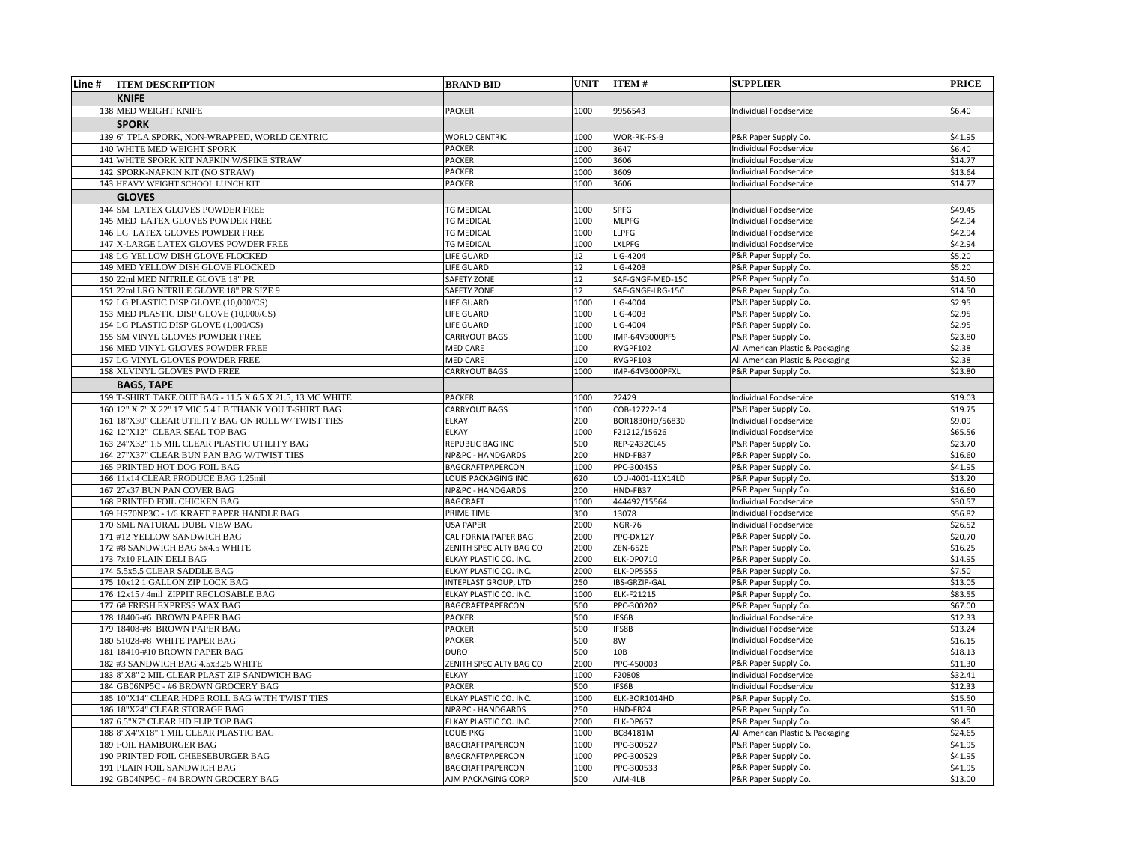| Line # | <b>ITEM DESCRIPTION</b>                                     | <b>BRAND BID</b>                         | <b>UNIT</b>  | <b>ITEM#</b>               | <b>SUPPLIER</b>                              | <b>PRICE</b>       |
|--------|-------------------------------------------------------------|------------------------------------------|--------------|----------------------------|----------------------------------------------|--------------------|
|        | <b>KNIFE</b>                                                |                                          |              |                            |                                              |                    |
|        | 138 MED WEIGHT KNIFE                                        | <b>PACKER</b>                            | 1000         | 9956543                    | <b>Individual Foodservice</b>                | \$6.40             |
|        | <b>SPORK</b>                                                |                                          |              |                            |                                              |                    |
|        | 139 6" TPLA SPORK, NON-WRAPPED, WORLD CENTRIC               | <b>WORLD CENTRIC</b>                     | 1000         | WOR-RK-PS-B                | P&R Paper Supply Co.                         | \$41.95            |
|        | 140 WHITE MED WEIGHT SPORK                                  | <b>PACKER</b>                            | 1000         | 3647                       | Individual Foodservice                       | \$6.40             |
|        | 141 WHITE SPORK KIT NAPKIN W/SPIKE STRAW                    | <b>PACKER</b>                            | 1000         | 3606                       | Individual Foodservice                       | \$14.77            |
|        | 142 SPORK-NAPKIN KIT (NO STRAW)                             | <b>PACKER</b>                            | 1000         | 3609                       | Individual Foodservice                       | \$13.64            |
|        | 143 HEAVY WEIGHT SCHOOL LUNCH KIT                           | <b>PACKER</b>                            | 1000         | 3606                       | <b>Individual Foodservice</b>                | \$14.77            |
|        | <b>GLOVES</b>                                               |                                          |              |                            |                                              |                    |
|        | 144 SM LATEX GLOVES POWDER FREE                             | <b>TG MEDICAL</b>                        | 1000         | <b>SPFG</b>                | <b>Individual Foodservice</b>                | \$49.45            |
|        | 145 MED LATEX GLOVES POWDER FREE                            | <b>TG MEDICAL</b>                        | 1000         | <b>MLPFG</b>               | Individual Foodservice                       | \$42.94            |
|        | 146 LG LATEX GLOVES POWDER FREE                             | <b>TG MEDICAL</b>                        | 1000         | <b>LLPFG</b>               | Individual Foodservice                       | \$42.94            |
|        | 147 X-LARGE LATEX GLOVES POWDER FREE                        | <b>TG MEDICAL</b>                        | 1000         | <b>LXLPFG</b>              | Individual Foodservice                       | \$42.94            |
|        | 148 LG YELLOW DISH GLOVE FLOCKED                            | LIFE GUARD                               | 12           | LIG-4204                   | P&R Paper Supply Co.                         | \$5.20             |
|        | 149 MED YELLOW DISH GLOVE FLOCKED                           | <b>LIFE GUARD</b>                        | 12           | LIG-4203                   | P&R Paper Supply Co.                         | \$5.20             |
|        | 150 22ml MED NITRILE GLOVE 18" PR                           | <b>SAFETY ZONE</b>                       | 12           | SAF-GNGF-MED-15C           | P&R Paper Supply Co.                         | \$14.50            |
|        | 151 22ml LRG NITRILE GLOVE 18" PR SIZE 9                    | <b>SAFETY ZONE</b>                       | 12           | SAF-GNGF-LRG-15C           | P&R Paper Supply Co.                         | \$14.50            |
|        | 152 LG PLASTIC DISP GLOVE (10,000/CS)                       | <b>LIFE GUARD</b>                        | 1000         | LIG-4004                   | P&R Paper Supply Co.                         | \$2.95             |
|        | 153 MED PLASTIC DISP GLOVE (10,000/CS)                      | <b>LIFE GUARD</b>                        | 1000         | LIG-4003                   | P&R Paper Supply Co.                         | \$2.95             |
|        | 154 LG PLASTIC DISP GLOVE (1,000/CS)                        | LIFE GUARD                               | 1000         | LIG-4004                   | P&R Paper Supply Co.                         | \$2.95             |
|        | 155 SM VINYL GLOVES POWDER FREE                             | CARRYOUT BAGS                            | 1000         | IMP-64V3000PFS             | P&R Paper Supply Co.                         | \$23.80            |
|        | 156 MED VINYL GLOVES POWDER FREE                            | <b>MED CARE</b>                          | 100          | RVGPF102                   | All American Plastic & Packaging             | \$2.38             |
|        | 157 LG VINYL GLOVES POWDER FREE                             | <b>MED CARE</b>                          | 100          | RVGPF103                   | All American Plastic & Packaging             | \$2.38             |
|        | 158 XLVINYL GLOVES PWD FREE                                 | CARRYOUT BAGS                            | 1000         | IMP-64V3000PFXL            | P&R Paper Supply Co.                         | \$23.80            |
|        | <b>BAGS, TAPE</b>                                           |                                          |              |                            |                                              |                    |
|        | 159 T-SHIRT TAKE OUT BAG - 11.5 X 6.5 X 21.5, 13 MC WHITE   | <b>PACKER</b>                            | 1000         | 22429                      | Individual Foodservice                       | \$19.03            |
|        | 160 12" X 7" X 22" 17 MIC 5.4 LB THANK YOU T-SHIRT BAG      | <b>CARRYOUT BAGS</b>                     | 1000         | COB-12722-14               | P&R Paper Supply Co.                         | \$19.75            |
|        | 161 18"X30" CLEAR UTILITY BAG ON ROLL W/TWIST TIES          | <b>ELKAY</b>                             | 200          | BOR1830HD/56830            | Individual Foodservice                       | \$9.09             |
|        | 162 12"X12" CLEAR SEAL TOP BAG                              | <b>ELKAY</b>                             | 1000         | F21212/15626               | Individual Foodservice                       | \$65.56            |
|        | 163 24"X32" 1.5 MIL CLEAR PLASTIC UTILITY BAG               | <b>REPUBLIC BAG INC</b>                  | 500          | REP-2432CL45               | P&R Paper Supply Co.                         | \$23.70            |
|        | 164 27"X37" CLEAR BUN PAN BAG W/TWIST TIES                  | NP&PC - HANDGARDS                        | 200          | HND-FB37                   | P&R Paper Supply Co.                         | \$16.60            |
|        | 165 PRINTED HOT DOG FOIL BAG                                | BAGCRAFTPAPERCON                         | 1000         | PPC-300455                 | P&R Paper Supply Co.                         | \$41.95            |
|        | 166 11x14 CLEAR PRODUCE BAG 1.25mil                         | LOUIS PACKAGING INC.                     | 620          | LOU-4001-11X14LD           | P&R Paper Supply Co.                         | \$13.20            |
|        | 167 27x37 BUN PAN COVER BAG                                 | NP&PC - HANDGARDS                        | 200          | HND-FB37                   | P&R Paper Supply Co.                         | \$16.60            |
|        | 168 PRINTED FOIL CHICKEN BAG                                | <b>BAGCRAFT</b>                          | 1000         | 444492/15564               | Individual Foodservice                       | \$30.57            |
|        | 169 HS70NP3C - 1/6 KRAFT PAPER HANDLE BAG                   | <b>PRIME TIME</b>                        | 300          | 13078                      | Individual Foodservice                       | \$56.82            |
|        | 170 SML NATURAL DUBL VIEW BAG<br>171#12 YELLOW SANDWICH BAG | USA PAPER<br><b>CALIFORNIA PAPER BAG</b> | 2000<br>2000 | <b>NGR-76</b><br>PPC-DX12Y | Individual Foodservice                       | \$26.52            |
|        | 172 #8 SANDWICH BAG 5x4.5 WHITE                             | ZENITH SPECIALTY BAG CO                  | 2000         | ZEN-6526                   | P&R Paper Supply Co.                         | \$20.70<br>\$16.25 |
|        | $173$   $7x10$ PLAIN DELI BAG                               | ELKAY PLASTIC CO. INC.                   | 2000         | ELK-DP0710                 | P&R Paper Supply Co.<br>P&R Paper Supply Co. | \$14.95            |
|        | 174 5.5x5.5 CLEAR SADDLE BAG                                | ELKAY PLASTIC CO. INC.                   | 2000         | ELK-DP5555                 | P&R Paper Supply Co.                         | \$7.50             |
|        | 175 10x12 1 GALLON ZIP LOCK BAG                             | <b>INTEPLAST GROUP, LTD</b>              | 250          | IBS-GRZIP-GAL              | P&R Paper Supply Co.                         | \$13.05            |
|        | 176 12x15 / 4mil ZIPPIT RECLOSABLE BAG                      | ELKAY PLASTIC CO. INC.                   | 1000         | <b>ELK-F21215</b>          | P&R Paper Supply Co.                         | \$83.55            |
|        | 177 6# FRESH EXPRESS WAX BAG                                | BAGCRAFTPAPERCON                         | 500          | PPC-300202                 | P&R Paper Supply Co.                         | \$67.00            |
|        | 178 18406-#6 BROWN PAPER BAG                                | <b>PACKER</b>                            | 500          | IFS6B                      | Individual Foodservice                       | \$12.33            |
|        | 179 18408-#8 BROWN PAPER BAG                                | <b>PACKER</b>                            | 500          | IFS8B                      | Individual Foodservice                       | \$13.24            |
|        | 180 51028-#8 WHITE PAPER BAG                                | <b>PACKER</b>                            | 500          | 8W                         | Individual Foodservice                       | \$16.15            |
| 181    | 18410-#10 BROWN PAPER BAG                                   | <b>DURO</b>                              | 500          | 10 <sub>B</sub>            | Individual Foodservice                       | \$18.13            |
|        | 182 #3 SANDWICH BAG 4.5x3.25 WHITE                          | ZENITH SPECIALTY BAG CO                  | 2000         | PPC-450003                 | P&R Paper Supply Co.                         | \$11.30            |
|        | 183 8"X8" 2 MIL CLEAR PLAST ZIP SANDWICH BAG                | <b>ELKAY</b>                             | 1000         | F20808                     | Individual Foodservice                       | \$32.41            |
|        | 184 GB06NP5C - #6 BROWN GROCERY BAG                         | <b>PACKER</b>                            | 500          | IFS6B                      | Individual Foodservice                       | \$12.33            |
|        | 185 10"X14" CLEAR HDPE ROLL BAG WITH TWIST TIES             | ELKAY PLASTIC CO. INC.                   | 1000         | ELK-BOR1014HD              | P&R Paper Supply Co.                         | \$15.50            |
|        | 186 18"X24" CLEAR STORAGE BAG                               | NP&PC - HANDGARDS                        | 250          | HND-FB24                   | P&R Paper Supply Co.                         | \$11.90            |
|        | 187 6.5"X7" CLEAR HD FLIP TOP BAG                           | ELKAY PLASTIC CO. INC.                   | 2000         | ELK-DP657                  | P&R Paper Supply Co.                         | \$8.45             |
|        | 188 8"X4"X18" 1 MIL CLEAR PLASTIC BAG                       | LOUIS PKG                                | 1000         | BC84181M                   | All American Plastic & Packaging             | \$24.65            |
|        | 189 FOIL HAMBURGER BAG                                      | BAGCRAFTPAPERCON                         | 1000         | PPC-300527                 | P&R Paper Supply Co.                         | \$41.95            |
|        | 190 PRINTED FOIL CHEESEBURGER BAG                           | BAGCRAFTPAPERCON                         | 1000         | PPC-300529                 | P&R Paper Supply Co.                         | \$41.95            |
|        | 191 PLAIN FOIL SANDWICH BAG                                 | BAGCRAFTPAPERCON                         | 1000         | PPC-300533                 | P&R Paper Supply Co.                         | \$41.95            |
|        | 192 GB04NP5C - #4 BROWN GROCERY BAG                         | AJM PACKAGING CORP                       | 500          | AJM-4LB                    | P&R Paper Supply Co.                         | \$13.00            |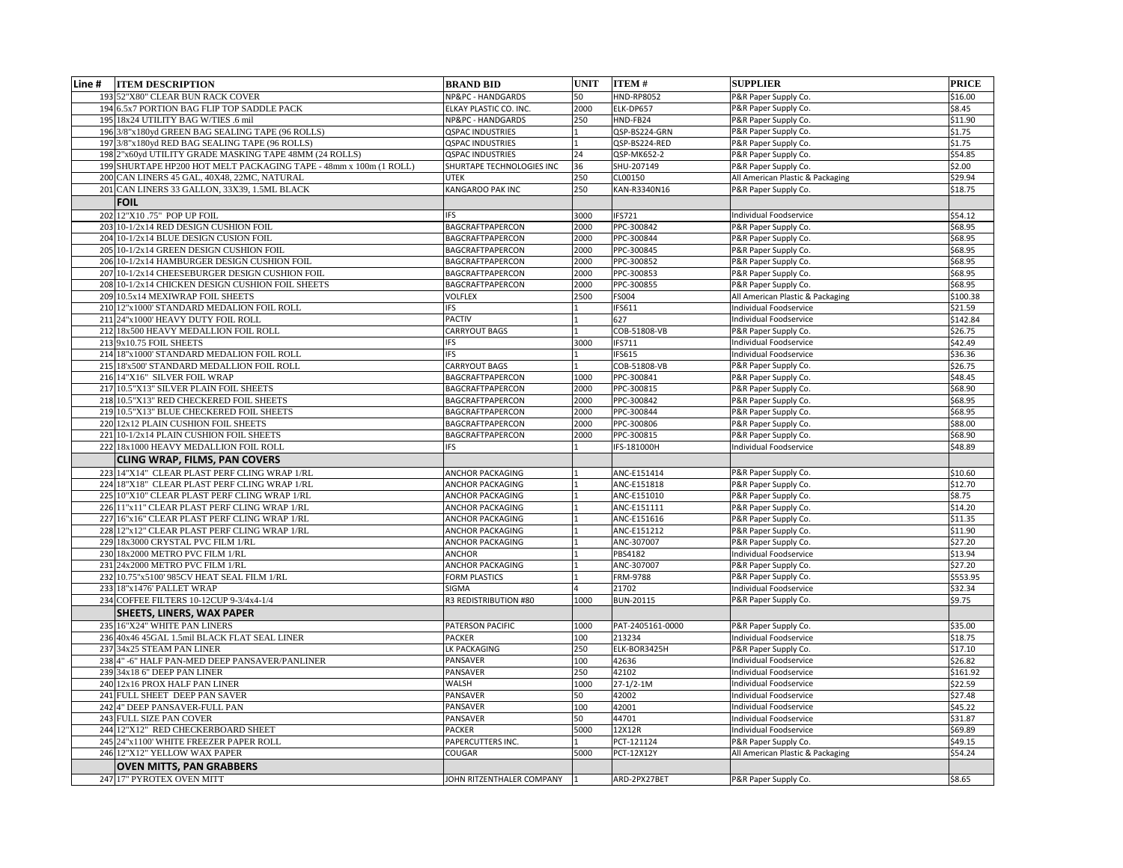| Line # | <b>ITEM DESCRIPTION</b>                                           | <b>BRAND BID</b>          | <b>UNIT</b> | <b>ITEM#</b>      | <b>SUPPLIER</b>                                                   | <b>PRICE</b> |
|--------|-------------------------------------------------------------------|---------------------------|-------------|-------------------|-------------------------------------------------------------------|--------------|
|        | 193 52"X80" CLEAR BUN RACK COVER                                  | NP&PC - HANDGARDS         | 50          | <b>HND-RP8052</b> | P&R Paper Supply Co.                                              | \$16.00      |
|        | 194 6.5x7 PORTION BAG FLIP TOP SADDLE PACK                        | ELKAY PLASTIC CO. INC.    | 2000        | ELK-DP657         | P&R Paper Supply Co.                                              | \$8.45       |
|        | 195 18x24 UTILITY BAG W/TIES .6 mil                               | NP&PC - HANDGARDS         | 250         | HND-FB24          | P&R Paper Supply Co.                                              | \$11.90      |
|        | 196 3/8"x180yd GREEN BAG SEALING TAPE (96 ROLLS)                  | <b>QSPAC INDUSTRIES</b>   |             | QSP-BS224-GRN     | P&R Paper Supply Co.                                              | \$1.75       |
|        | 197 3/8"x180yd RED BAG SEALING TAPE (96 ROLLS)                    | <b>QSPAC INDUSTRIES</b>   |             | QSP-BS224-RED     | P&R Paper Supply Co.                                              | \$1.75       |
|        | 198 2"x60yd UTILITY GRADE MASKING TAPE 48MM (24 ROLLS)            | <b>QSPAC INDUSTRIES</b>   | 24          | QSP-MK652-2       | P&R Paper Supply Co.                                              | \$54.85      |
|        | 199 SHURTAPE HP200 HOT MELT PACKAGING TAPE - 48mm x 100m (1 ROLL) | SHURTAPE TECHNOLOGIES INC | 36          | SHU-207149        | P&R Paper Supply Co.                                              | \$2.00       |
|        | 200 CAN LINERS 45 GAL, 40X48, 22MC, NATURAL                       | <b>UTEK</b>               | 250         | CL00150           | All American Plastic & Packaging                                  | \$29.94      |
|        | 201 CAN LINERS 33 GALLON, 33X39, 1.5ML BLACK                      | <b>KANGAROO PAK INC</b>   | 250         | KAN-R3340N16      | P&R Paper Supply Co.                                              | \$18.75      |
|        |                                                                   |                           |             |                   |                                                                   |              |
|        | <b>FOIL</b>                                                       |                           |             |                   |                                                                   |              |
|        | 202 12"X10 .75" POP UP FOIL                                       | <b>IFS</b>                | 3000        | <b>IFS721</b>     | <b>Individual Foodservice</b>                                     | \$54.12      |
|        | 203 10-1/2x14 RED DESIGN CUSHION FOIL                             | BAGCRAFTPAPERCON          | 2000        | PPC-300842        | P&R Paper Supply Co.                                              | \$68.95      |
|        | 204 10-1/2x14 BLUE DESIGN CUSION FOIL                             | BAGCRAFTPAPERCON          | 2000        | PPC-300844        | P&R Paper Supply Co.                                              | \$68.95      |
|        | 205 10-1/2x14 GREEN DESIGN CUSHION FOIL                           | <b>BAGCRAFTPAPERCON</b>   | 2000        | PPC-300845        | P&R Paper Supply Co.                                              | \$68.95      |
|        | 206 10-1/2x14 HAMBURGER DESIGN CUSHION FOIL                       | <b>BAGCRAFTPAPERCON</b>   | 2000        | PPC-300852        | P&R Paper Supply Co.                                              | \$68.95      |
|        | 207 10-1/2x14 CHEESEBURGER DESIGN CUSHION FOIL                    | BAGCRAFTPAPERCON          | 2000        | PPC-300853        | P&R Paper Supply Co.                                              | \$68.95      |
|        | 208 10-1/2x14 CHICKEN DESIGN CUSHION FOIL SHEETS                  | <b>BAGCRAFTPAPERCON</b>   | 2000        | PPC-300855        | P&R Paper Supply Co.                                              | \$68.95      |
|        | 209 10.5x14 MEXIWRAP FOIL SHEETS                                  | <b>VOLFLEX</b>            | 2500        | <b>FS004</b>      | All American Plastic & Packaging<br><b>Individual Foodservice</b> | \$100.38     |
|        | 210 12"x1000' STANDARD MEDALION FOIL ROLL                         | IFS                       |             | <b>IFS611</b>     |                                                                   | \$21.59      |
|        | 211 24"x1000' HEAVY DUTY FOIL ROLL                                | <b>PACTIV</b>             |             | 627               | Individual Foodservice                                            | \$142.84     |
|        | 212 18x500 HEAVY MEDALLION FOIL ROLL                              | <b>CARRYOUT BAGS</b>      |             | COB-51808-VB      | P&R Paper Supply Co.                                              | \$26.75      |
|        | $213$ <sub>9x10.75</sub> FOIL SHEETS                              | <b>IFS</b>                | 3000        | <b>IFS711</b>     | Individual Foodservice                                            | \$42.49      |
|        | 214 18"x1000' STANDARD MEDALION FOIL ROLL                         | <b>IFS</b>                |             | <b>IFS615</b>     | <b>Individual Foodservice</b>                                     | \$36.36      |
|        | 215 18'x500' STANDARD MEDALLION FOIL ROLL                         | CARRYOUT BAGS             |             | COB-51808-VB      | P&R Paper Supply Co.                                              | \$26.75      |
|        | 216 14"X16" SILVER FOIL WRAP                                      | BAGCRAFTPAPERCON          | 1000        | PPC-300841        | P&R Paper Supply Co.                                              | \$48.45      |
|        | 217 10.5"X13" SILVER PLAIN FOIL SHEETS                            | BAGCRAFTPAPERCON          | 2000        | PPC-300815        | P&R Paper Supply Co.                                              | \$68.90      |
|        | 218 10.5"X13" RED CHECKERED FOIL SHEETS                           | <b>BAGCRAFTPAPERCON</b>   | 2000        | PPC-300842        | P&R Paper Supply Co.                                              | \$68.95      |
|        | 219 10.5"X13" BLUE CHECKERED FOIL SHEETS                          | <b>BAGCRAFTPAPERCON</b>   | 2000        | PPC-300844        | P&R Paper Supply Co.                                              | \$68.95      |
|        | 220 12x12 PLAIN CUSHION FOIL SHEETS                               | <b>BAGCRAFTPAPERCON</b>   | 2000        | PPC-300806        | P&R Paper Supply Co.                                              | \$88.00      |
|        | $221 10-1/2x14$ PLAIN CUSHION FOIL SHEETS                         | <b>BAGCRAFTPAPERCON</b>   | 2000        | PPC-300815        | P&R Paper Supply Co.                                              | \$68.90      |
|        | 222 18x1000 HEAVY MEDALLION FOIL ROLL                             | <b>IFS</b>                |             | IFS-181000H       | Individual Foodservice                                            | \$48.89      |
|        | <b>CLING WRAP, FILMS, PAN COVERS</b>                              |                           |             |                   |                                                                   |              |
|        | 223 14"X14" CLEAR PLAST PERF CLING WRAP 1/RL                      | <b>ANCHOR PACKAGING</b>   |             | ANC-E151414       | P&R Paper Supply Co.                                              | \$10.60      |
|        | 224 18"X18" CLEAR PLAST PERF CLING WRAP 1/RL                      | <b>ANCHOR PACKAGING</b>   |             | ANC-E151818       | P&R Paper Supply Co.                                              | \$12.70      |
|        | 225 10"X10" CLEAR PLAST PERF CLING WRAP 1/RL                      | <b>ANCHOR PACKAGING</b>   |             | ANC-E151010       | P&R Paper Supply Co.                                              | \$8.75       |
|        | 226 11"x11" CLEAR PLAST PERF CLING WRAP 1/RL                      | <b>ANCHOR PACKAGING</b>   |             | ANC-E151111       | P&R Paper Supply Co.                                              | \$14.20      |
|        | 227 16"x16" CLEAR PLAST PERF CLING WRAP 1/RL                      | <b>ANCHOR PACKAGING</b>   |             | ANC-E151616       | P&R Paper Supply Co.                                              | \$11.35      |
|        | 228 12"x12" CLEAR PLAST PERF CLING WRAP 1/RL                      | <b>ANCHOR PACKAGING</b>   |             | ANC-E151212       | P&R Paper Supply Co.                                              | \$11.90      |
|        | 229 18x3000 CRYSTAL PVC FILM 1/RL                                 | <b>ANCHOR PACKAGING</b>   |             | ANC-307007        | P&R Paper Supply Co.                                              | \$27.20      |
|        | 230 18x2000 METRO PVC FILM 1/RL                                   | <b>ANCHOR</b>             |             | PBS4182           | <b>Individual Foodservice</b>                                     | \$13.94      |
|        | 231 24x2000 METRO PVC FILM 1/RL                                   | <b>ANCHOR PACKAGING</b>   |             | ANC-307007        | P&R Paper Supply Co.                                              | \$27.20      |
|        | 232 10.75"x5100' 985CV HEAT SEAL FILM 1/RL                        | <b>FORM PLASTICS</b>      |             | FRM-9788          | P&R Paper Supply Co.                                              | \$553.95     |
|        | 233 18"x1476' PALLET WRAP                                         | <b>SIGMA</b>              |             | 21702             | <b>Individual Foodservice</b>                                     | \$32.34      |
|        | 234 COFFEE FILTERS 10-12CUP 9-3/4x4-1/4                           | R3 REDISTRIBUTION #80     | 1000        | <b>BUN-20115</b>  | P&R Paper Supply Co.                                              | \$9.75       |
|        | <b>SHEETS, LINERS, WAX PAPER</b>                                  |                           |             |                   |                                                                   |              |
|        | 235 16"X24" WHITE PAN LINERS                                      | <b>PATERSON PACIFIC</b>   | 1000        | PAT-2405161-0000  | P&R Paper Supply Co.                                              | \$35.00      |
|        | 236 40x46 45GAL 1.5mil BLACK FLAT SEAL LINER                      | <b>PACKER</b>             | 100         | 213234            | <b>Individual Foodservice</b>                                     | \$18.75      |
|        | 237 34x25 STEAM PAN LINER                                         | LK PACKAGING              | 250         | ELK-BOR3425H      | P&R Paper Supply Co.                                              | \$17.10      |
|        | 238 4" -6" HALF PAN-MED DEEP PANSAVER/PANLINER                    | PANSAVER                  | 100         | 42636             | Individual Foodservice                                            | \$26.82      |
|        | $239$ 34x18 6" DEEP PAN LINER                                     | PANSAVER                  | 250         | 42102             | Individual Foodservice                                            | \$161.92     |
|        | 240 12x16 PROX HALF PAN LINER                                     | <b>WALSH</b>              | 1000        | 27-1/2-1M         | <b>Individual Foodservice</b>                                     | \$22.59      |
|        | 241 FULL SHEET DEEP PAN SAVER                                     | PANSAVER                  | 50          | 42002             | Individual Foodservice                                            | \$27.48      |
|        | 242 4" DEEP PANSAVER-FULL PAN                                     | PANSAVER                  | 100         | 42001             | Individual Foodservice                                            | \$45.22      |
|        | 243 FULL SIZE PAN COVER                                           | <b>PANSAVER</b>           | 50          | 44701             | <b>Individual Foodservice</b>                                     | \$31.87      |
|        | 244 12"X12" RED CHECKERBOARD SHEET                                | <b>PACKER</b>             | 5000        | 12X12R            | ndividual Foodservice                                             | \$69.89      |
|        | 245 24"x1100' WHITE FREEZER PAPER ROLL                            | PAPERCUTTERS INC.         |             | PCT-121124        | P&R Paper Supply Co.                                              | \$49.15      |
|        | 246 12"X12" YELLOW WAX PAPER                                      | <b>COUGAR</b>             | 5000        | <b>PCT-12X12Y</b> | All American Plastic & Packaging                                  | \$54.24      |
|        | <b>OVEN MITTS, PAN GRABBERS</b>                                   |                           |             |                   |                                                                   |              |
|        | 247 17" PYROTEX OVEN MITT                                         | JOHN RITZENTHALER COMPANY |             | ARD-2PX27BET      | P&R Paper Supply Co.                                              | \$8.65       |
|        |                                                                   |                           |             |                   |                                                                   |              |